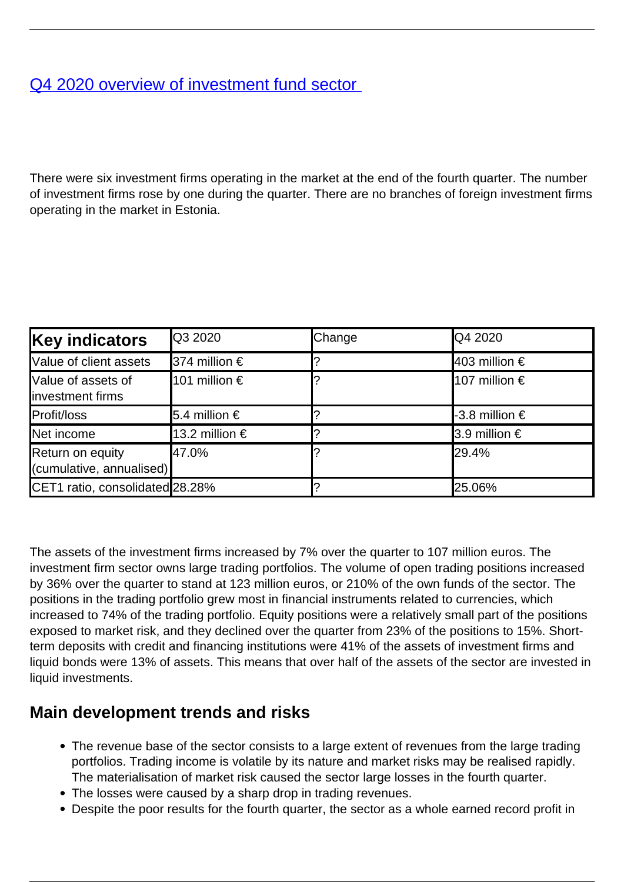## [Q4 2020 overview of investment fund sector](/en/publications/q4-2020-overview-investment-fund-sector)

There were six investment firms operating in the market at the end of the fourth quarter. The number of investment firms rose by one during the quarter. There are no branches of foreign investment firms operating in the market in Estonia.

| <b>Key indicators</b>                        | <b>Q3 2020</b>       | Change | <b>Q4 2020</b>          |
|----------------------------------------------|----------------------|--------|-------------------------|
| Value of client assets                       | <b>374 million €</b> |        | $ 403$ million €        |
| Value of assets of<br>investment firms       | 101 million €        |        | 107 million €           |
| Profit/loss                                  | <b>5.4</b> million € |        | <b>I-</b> 3.8 million € |
| Net income                                   | 13.2 million €       |        | $\vert 3.9$ million €   |
| Return on equity<br>(cumulative, annualised) | 47.0%                |        | 29.4%                   |
| CET1 ratio, consolidated 28.28%              |                      |        | 25.06%                  |

The assets of the investment firms increased by 7% over the quarter to 107 million euros. The investment firm sector owns large trading portfolios. The volume of open trading positions increased by 36% over the quarter to stand at 123 million euros, or 210% of the own funds of the sector. The positions in the trading portfolio grew most in financial instruments related to currencies, which increased to 74% of the trading portfolio. Equity positions were a relatively small part of the positions exposed to market risk, and they declined over the quarter from 23% of the positions to 15%. Shortterm deposits with credit and financing institutions were 41% of the assets of investment firms and liquid bonds were 13% of assets. This means that over half of the assets of the sector are invested in liquid investments.

## **Main development trends and risks**

- The revenue base of the sector consists to a large extent of revenues from the large trading portfolios. Trading income is volatile by its nature and market risks may be realised rapidly. The materialisation of market risk caused the sector large losses in the fourth quarter.
- The losses were caused by a sharp drop in trading revenues.
- Despite the poor results for the fourth quarter, the sector as a whole earned record profit in